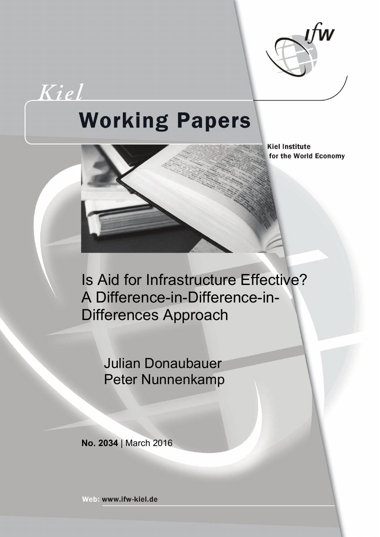

Kiel

# **Working Papers**

**Kiel Institute** for the World Economy

Is Aid for Infrastructure Effective? A Difference-in-Difference-in-Differences Approach

> Julian Donaubauer Peter Nunnenkamp

**No. 2034** | March 2016

Web: www.ifw-kiel.de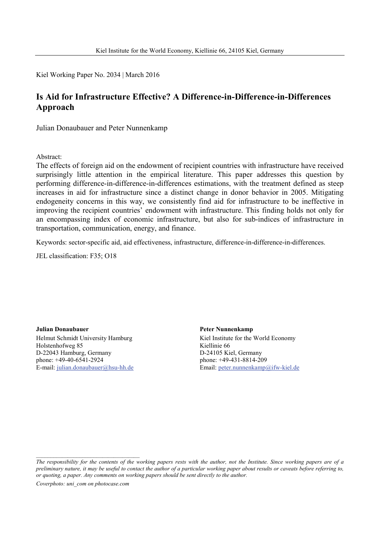Kiel Working Paper No. 2034 | March 2016

### **Is Aid for Infrastructure Effective? A Difference-in-Difference-in-Differences Approach**

Julian Donaubauer and Peter Nunnenkamp

Abstract:

The effects of foreign aid on the endowment of recipient countries with infrastructure have received surprisingly little attention in the empirical literature. This paper addresses this question by performing difference-in-difference-in-differences estimations, with the treatment defined as steep increases in aid for infrastructure since a distinct change in donor behavior in 2005. Mitigating endogeneity concerns in this way, we consistently find aid for infrastructure to be ineffective in improving the recipient countries' endowment with infrastructure. This finding holds not only for an encompassing index of economic infrastructure, but also for sub-indices of infrastructure in transportation, communication, energy, and finance.

Keywords: sector-specific aid, aid effectiveness, infrastructure, difference-in-difference-in-differences.

JEL classification: F35; O18

**Julian Donaubauer** Helmut Schmidt University Hamburg Holstenhofweg 85 D-22043 Hamburg, Germany phone: +49-40-6541-2924 E-mail: [julian.donaubauer@hsu-hh.de](mailto:julian.donaubauer@hsu-hh.de)

**Peter Nunnenkamp** Kiel Institute for the World Economy Kiellinie 66 D-24105 Kiel, Germany phone: +49-431-8814-209 Email: [peter.nunnenkamp@ifw-kiel.de](mailto:peter.nunnenkamp@ifw-kiel.de)

*Coverphoto: uni\_com on photocase.com*

\_\_\_\_\_\_\_\_\_\_\_\_\_\_\_\_\_\_\_\_\_\_\_\_\_\_\_\_\_\_\_\_\_\_\_\_

*The responsibility for the contents of the working papers rests with the author, not the Institute. Since working papers are of a preliminary nature, it may be useful to contact the author of a particular working paper about results or caveats before referring to, or quoting, a paper. Any comments on working papers should be sent directly to the author.*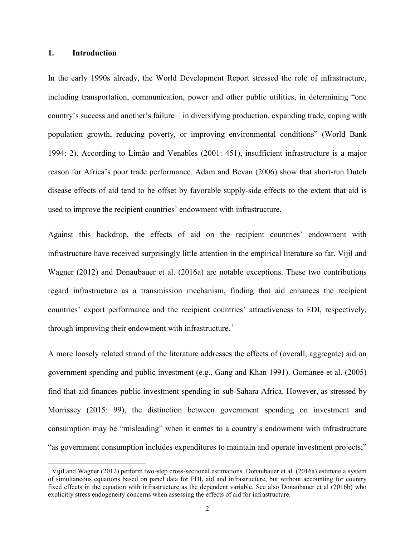#### **1. Introduction**

In the early 1990s already, the World Development Report stressed the role of infrastructure, including transportation, communication, power and other public utilities, in determining "one country's success and another's failure – in diversifying production, expanding trade, coping with population growth, reducing poverty, or improving environmental conditions" (World Bank 1994: 2). According to Limão and Venables (2001: 451), insufficient infrastructure is a major reason for Africa's poor trade performance. Adam and Bevan (2006) show that short-run Dutch disease effects of aid tend to be offset by favorable supply-side effects to the extent that aid is used to improve the recipient countries' endowment with infrastructure.

Against this backdrop, the effects of aid on the recipient countries' endowment with infrastructure have received surprisingly little attention in the empirical literature so far. Vijil and Wagner (2012) and Donaubauer et al. (2016a) are notable exceptions. These two contributions regard infrastructure as a transmission mechanism, finding that aid enhances the recipient countries' export performance and the recipient countries' attractiveness to FDI, respectively, through improving their endowment with infrastructure.<sup>[1](#page-2-0)</sup>

A more loosely related strand of the literature addresses the effects of (overall, aggregate) aid on government spending and public investment (e.g., Gang and Khan 1991). Gomanee et al. (2005) find that aid finances public investment spending in sub-Sahara Africa. However, as stressed by Morrissey (2015: 99), the distinction between government spending on investment and consumption may be "misleading" when it comes to a country's endowment with infrastructure "as government consumption includes expenditures to maintain and operate investment projects;"

<span id="page-2-0"></span><sup>&</sup>lt;sup>1</sup> Viiil and Wagner (2012) perform two-step cross-sectional estimations. Donaubauer et al. (2016a) estimate a system of simultaneous equations based on panel data for FDI, aid and infrastructure, but without accounting for country fixed effects in the equation with infrastructure as the dependent variable. See also Donaubauer et al (2016b) who explicitly stress endogeneity concerns when assessing the effects of aid for infrastructure.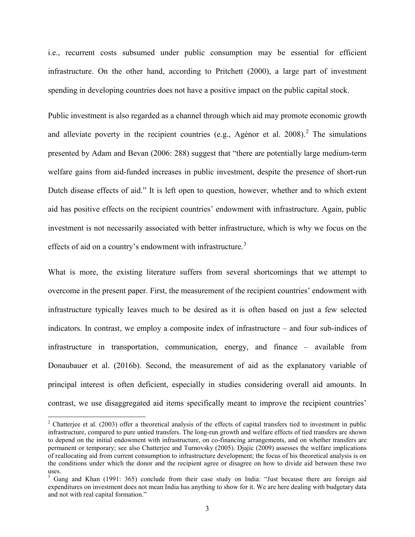i.e., recurrent costs subsumed under public consumption may be essential for efficient infrastructure. On the other hand, according to Pritchett (2000), a large part of investment spending in developing countries does not have a positive impact on the public capital stock.

Public investment is also regarded as a channel through which aid may promote economic growth and alleviate poverty in the recipient countries (e.g., Agénor et al. [2](#page-3-0)008).<sup>2</sup> The simulations presented by Adam and Bevan (2006: 288) suggest that "there are potentially large medium-term welfare gains from aid-funded increases in public investment, despite the presence of short-run Dutch disease effects of aid." It is left open to question, however, whether and to which extent aid has positive effects on the recipient countries' endowment with infrastructure. Again, public investment is not necessarily associated with better infrastructure, which is why we focus on the effects of aid on a country's endowment with infrastructure.<sup>[3](#page-3-1)</sup>

What is more, the existing literature suffers from several shortcomings that we attempt to overcome in the present paper. First, the measurement of the recipient countries' endowment with infrastructure typically leaves much to be desired as it is often based on just a few selected indicators. In contrast, we employ a composite index of infrastructure – and four sub-indices of infrastructure in transportation, communication, energy, and finance – available from Donaubauer et al. (2016b). Second, the measurement of aid as the explanatory variable of principal interest is often deficient, especially in studies considering overall aid amounts. In contrast, we use disaggregated aid items specifically meant to improve the recipient countries'

<span id="page-3-0"></span><sup>&</sup>lt;sup>2</sup> Chatterjee et al. (2003) offer a theoretical analysis of the effects of capital transfers tied to investment in public infrastructure, compared to pure untied transfers. The long-run growth and welfare effects of tied transfers are shown to depend on the initial endowment with infrastructure, on co-financing arrangements, and on whether transfers are permanent or temporary; see also Chatterjee and Turnovsky (2005). Djajic (2009) assesses the welfare implications of reallocating aid from current consumption to infrastructure development; the focus of his theoretical analysis is on the conditions under which the donor and the recipient agree or disagree on how to divide aid between these two uses.

<span id="page-3-1"></span><sup>&</sup>lt;sup>3</sup> Gang and Khan (1991: 365) conclude from their case study on India: "Just because there are foreign aid expenditures on investment does not mean India has anything to show for it. We are here dealing with budgetary data and not with real capital formation."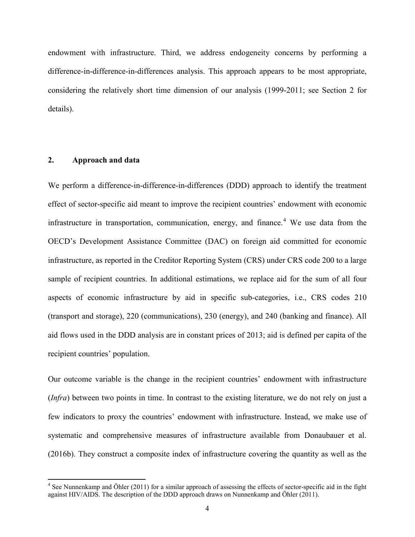endowment with infrastructure. Third, we address endogeneity concerns by performing a difference-in-difference-in-differences analysis. This approach appears to be most appropriate, considering the relatively short time dimension of our analysis (1999-2011; see Section 2 for details).

#### **2. Approach and data**

We perform a difference-in-difference-in-differences (DDD) approach to identify the treatment effect of sector-specific aid meant to improve the recipient countries' endowment with economic infrastructure in transportation, communication, energy, and finance.<sup>[4](#page-4-0)</sup> We use data from the OECD's Development Assistance Committee (DAC) on foreign aid committed for economic infrastructure, as reported in the Creditor Reporting System (CRS) under CRS code 200 to a large sample of recipient countries. In additional estimations, we replace aid for the sum of all four aspects of economic infrastructure by aid in specific sub-categories, i.e., CRS codes 210 (transport and storage), 220 (communications), 230 (energy), and 240 (banking and finance). All aid flows used in the DDD analysis are in constant prices of 2013; aid is defined per capita of the recipient countries' population.

Our outcome variable is the change in the recipient countries' endowment with infrastructure (*Infra*) between two points in time. In contrast to the existing literature, we do not rely on just a few indicators to proxy the countries' endowment with infrastructure. Instead, we make use of systematic and comprehensive measures of infrastructure available from Donaubauer et al. (2016b). They construct a composite index of infrastructure covering the quantity as well as the

<span id="page-4-0"></span><sup>&</sup>lt;sup>4</sup> See Nunnenkamp and Öhler (2011) for a similar approach of assessing the effects of sector-specific aid in the fight against HIV/AIDS. The description of the DDD approach draws on Nunnenkamp and Öhler (2011).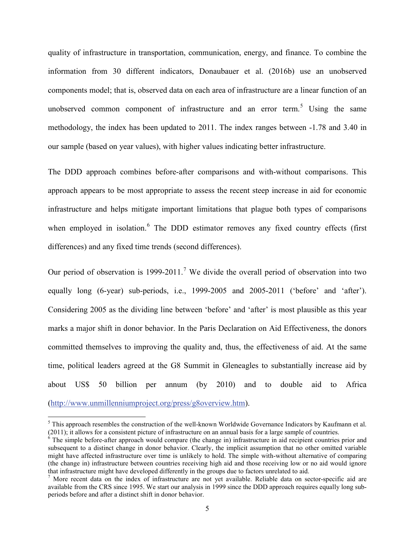quality of infrastructure in transportation, communication, energy, and finance. To combine the information from 30 different indicators, Donaubauer et al. (2016b) use an unobserved components model; that is, observed data on each area of infrastructure are a linear function of an unobserved common component of infrastructure and an error term.<sup>[5](#page-5-0)</sup> Using the same methodology, the index has been updated to 2011. The index ranges between -1.78 and 3.40 in our sample (based on year values), with higher values indicating better infrastructure.

The DDD approach combines before-after comparisons and with-without comparisons. This approach appears to be most appropriate to assess the recent steep increase in aid for economic infrastructure and helps mitigate important limitations that plague both types of comparisons when employed in isolation.<sup>[6](#page-5-1)</sup> The DDD estimator removes any fixed country effects (first differences) and any fixed time trends (second differences).

Our period of observation is 1999-2011.<sup>[7](#page-5-2)</sup> We divide the overall period of observation into two equally long (6-year) sub-periods, i.e., 1999-2005 and 2005-2011 ('before' and 'after'). Considering 2005 as the dividing line between 'before' and 'after' is most plausible as this year marks a major shift in donor behavior. In the Paris Declaration on Aid Effectiveness, the donors committed themselves to improving the quality and, thus, the effectiveness of aid. At the same time, political leaders agreed at the G8 Summit in Gleneagles to substantially increase aid by about US\$ 50 billion per annum (by 2010) and to double aid to Africa [\(http://www.unmillenniumproject.org/press/g8overview.htm\)](http://www.unmillenniumproject.org/press/g8overview.htm).

<span id="page-5-0"></span><sup>&</sup>lt;sup>5</sup> This approach resembles the construction of the well-known Worldwide Governance Indicators by Kaufmann et al. (2011); it allows for a consistent picture of infrastructure on an annual basis for a large sample of count

<span id="page-5-1"></span> $6$  The simple before-after approach would compare (the change in) infrastructure in aid recipient countries prior and subsequent to a distinct change in donor behavior. Clearly, the implicit assumption that no other omitted variable might have affected infrastructure over time is unlikely to hold. The simple with-without alternative of comparing (the change in) infrastructure between countries receiving high aid and those receiving low or no aid would ignore that infrastructure might have developed differently in the groups due to factors unrelated to aid.  $7$  More recent data on the index of infrastructure are not yet available. Reliable data on sector-specific aid are

<span id="page-5-2"></span>available from the CRS since 1995. We start our analysis in 1999 since the DDD approach requires equally long subperiods before and after a distinct shift in donor behavior.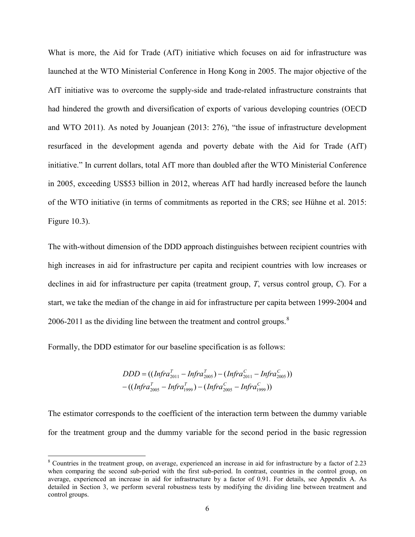What is more, the Aid for Trade (AfT) initiative which focuses on aid for infrastructure was launched at the WTO Ministerial Conference in Hong Kong in 2005. The major objective of the AfT initiative was to overcome the supply-side and trade-related infrastructure constraints that had hindered the growth and diversification of exports of various developing countries (OECD and WTO 2011). As noted by Jouanjean (2013: 276), "the issue of infrastructure development resurfaced in the development agenda and poverty debate with the Aid for Trade (AfT) initiative." In current dollars, total AfT more than doubled after the WTO Ministerial Conference in 2005, exceeding US\$53 billion in 2012, whereas AfT had hardly increased before the launch of the WTO initiative (in terms of commitments as reported in the CRS; see Hühne et al. 2015: Figure 10.3).

The with-without dimension of the DDD approach distinguishes between recipient countries with high increases in aid for infrastructure per capita and recipient countries with low increases or declines in aid for infrastructure per capita (treatment group, *T*, versus control group, *C*). For a start, we take the median of the change in aid for infrastructure per capita between 1999-2004 and 2006-2011 as the dividing line between the treatment and control groups.<sup>[8](#page-6-0)</sup>

Formally, the DDD estimator for our baseline specification is as follows:

$$
DDD = ((Infra2011T - Infra2005T) - (Infra2011C - Infra2005C))
$$
  
- ((Infra<sub>2005</sub><sup>T</sup> - Infra<sub>1999</sub><sup>T</sup>) - (Infra<sub>2005</sub><sup>C</sup> - Infra<sub>1999</sub><sup>C</sup>))

The estimator corresponds to the coefficient of the interaction term between the dummy variable for the treatment group and the dummy variable for the second period in the basic regression

<span id="page-6-0"></span> <sup>8</sup> Countries in the treatment group, on average, experienced an increase in aid for infrastructure by a factor of 2.23 when comparing the second sub-period with the first sub-period. In contrast, countries in the control group, on average, experienced an increase in aid for infrastructure by a factor of 0.91. For details, see Appendix A. As detailed in Section 3, we perform several robustness tests by modifying the dividing line between treatment and control groups.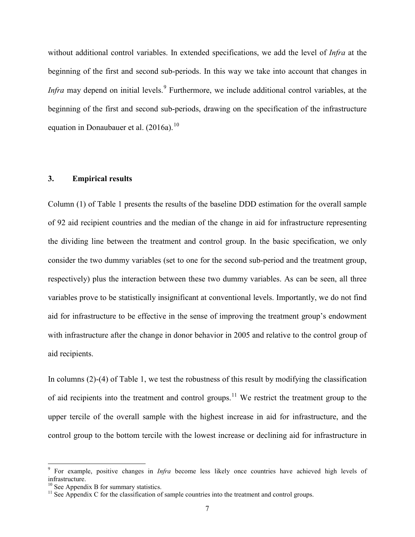without additional control variables. In extended specifications, we add the level of *Infra* at the beginning of the first and second sub-periods. In this way we take into account that changes in *Infra* may depend on initial levels.<sup>[9](#page-7-0)</sup> Furthermore, we include additional control variables, at the beginning of the first and second sub-periods, drawing on the specification of the infrastructure equation in Donaubauer et al.  $(2016a)^{10}$  $(2016a)^{10}$  $(2016a)^{10}$ 

#### **3. Empirical results**

Column (1) of Table 1 presents the results of the baseline DDD estimation for the overall sample of 92 aid recipient countries and the median of the change in aid for infrastructure representing the dividing line between the treatment and control group. In the basic specification, we only consider the two dummy variables (set to one for the second sub-period and the treatment group, respectively) plus the interaction between these two dummy variables. As can be seen, all three variables prove to be statistically insignificant at conventional levels. Importantly, we do not find aid for infrastructure to be effective in the sense of improving the treatment group's endowment with infrastructure after the change in donor behavior in 2005 and relative to the control group of aid recipients.

In columns (2)-(4) of Table 1, we test the robustness of this result by modifying the classification of aid recipients into the treatment and control groups.<sup>[11](#page-7-2)</sup> We restrict the treatment group to the upper tercile of the overall sample with the highest increase in aid for infrastructure, and the control group to the bottom tercile with the lowest increase or declining aid for infrastructure in

<span id="page-7-0"></span> <sup>9</sup> For example, positive changes in *Infra* become less likely once countries have achieved high levels of infrastructure.

<span id="page-7-2"></span>

<span id="page-7-1"></span><sup>&</sup>lt;sup>10</sup> See Appendix B for summary statistics.<br><sup>11</sup> See Appendix C for the classification of sample countries into the treatment and control groups.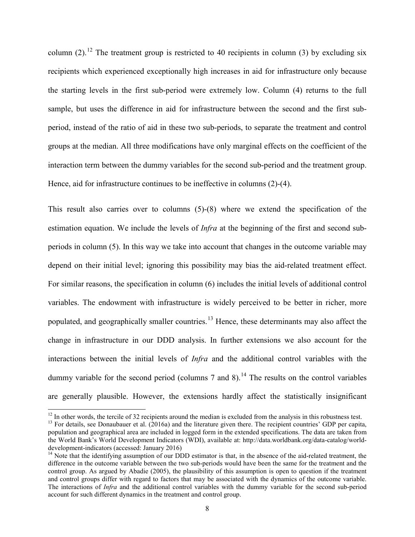column (2).<sup>[12](#page-8-0)</sup> The treatment group is restricted to 40 recipients in column (3) by excluding six recipients which experienced exceptionally high increases in aid for infrastructure only because the starting levels in the first sub-period were extremely low. Column (4) returns to the full sample, but uses the difference in aid for infrastructure between the second and the first subperiod, instead of the ratio of aid in these two sub-periods, to separate the treatment and control groups at the median. All three modifications have only marginal effects on the coefficient of the interaction term between the dummy variables for the second sub-period and the treatment group. Hence, aid for infrastructure continues to be ineffective in columns (2)-(4).

This result also carries over to columns (5)-(8) where we extend the specification of the estimation equation. We include the levels of *Infra* at the beginning of the first and second subperiods in column (5). In this way we take into account that changes in the outcome variable may depend on their initial level; ignoring this possibility may bias the aid-related treatment effect. For similar reasons, the specification in column (6) includes the initial levels of additional control variables. The endowment with infrastructure is widely perceived to be better in richer, more populated, and geographically smaller countries.<sup>[13](#page-8-1)</sup> Hence, these determinants may also affect the change in infrastructure in our DDD analysis. In further extensions we also account for the interactions between the initial levels of *Infra* and the additional control variables with the dummy variable for the second period (columns  $7$  and  $8$ ).<sup>[14](#page-8-2)</sup> The results on the control variables are generally plausible. However, the extensions hardly affect the statistically insignificant

<span id="page-8-0"></span> $^{12}$  In other words, the tercile of 32 recipients around the median is excluded from the analysis in this robustness test.<br><sup>13</sup> For details, see Donaubauer et al. (2016a) and the literature given there. The recipient co

<span id="page-8-1"></span>population and geographical area are included in logged form in the extended specifications. The data are taken from the World Bank's World Development Indicators (WDI), available at: http://data.worldbank.org/data-catalog/worlddevelopment-indicators (accessed: January 2016)<br><sup>14</sup> Note that the identifying assumption of our DDD estimator is that, in the absence of the aid-related treatment, the

<span id="page-8-2"></span>difference in the outcome variable between the two sub-periods would have been the same for the treatment and the control group. As argued by Abadie (2005), the plausibility of this assumption is open to question if the treatment and control groups differ with regard to factors that may be associated with the dynamics of the outcome variable. The interactions of *Infra* and the additional control variables with the dummy variable for the second sub-period account for such different dynamics in the treatment and control group.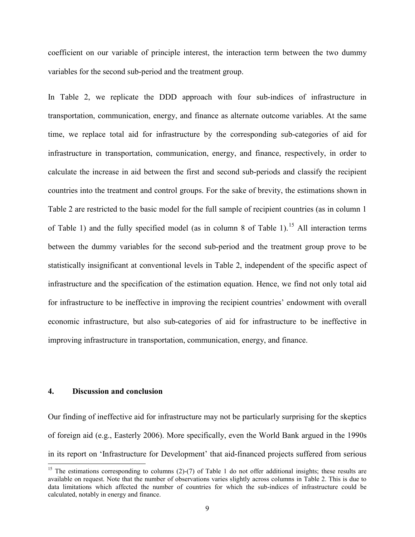coefficient on our variable of principle interest, the interaction term between the two dummy variables for the second sub-period and the treatment group.

In Table 2, we replicate the DDD approach with four sub-indices of infrastructure in transportation, communication, energy, and finance as alternate outcome variables. At the same time, we replace total aid for infrastructure by the corresponding sub-categories of aid for infrastructure in transportation, communication, energy, and finance, respectively, in order to calculate the increase in aid between the first and second sub-periods and classify the recipient countries into the treatment and control groups. For the sake of brevity, the estimations shown in Table 2 are restricted to the basic model for the full sample of recipient countries (as in column 1 of Table 1) and the fully specified model (as in column 8 of Table 1).<sup>[15](#page-9-0)</sup> All interaction terms between the dummy variables for the second sub-period and the treatment group prove to be statistically insignificant at conventional levels in Table 2, independent of the specific aspect of infrastructure and the specification of the estimation equation. Hence, we find not only total aid for infrastructure to be ineffective in improving the recipient countries' endowment with overall economic infrastructure, but also sub-categories of aid for infrastructure to be ineffective in improving infrastructure in transportation, communication, energy, and finance.

#### **4. Discussion and conclusion**

Our finding of ineffective aid for infrastructure may not be particularly surprising for the skeptics of foreign aid (e.g., Easterly 2006). More specifically, even the World Bank argued in the 1990s in its report on 'Infrastructure for Development' that aid-financed projects suffered from serious

<span id="page-9-0"></span><sup>&</sup>lt;sup>15</sup> The estimations corresponding to columns  $(2)-(7)$  of Table 1 do not offer additional insights; these results are available on request. Note that the number of observations varies slightly across columns in Table 2. This is due to data limitations which affected the number of countries for which the sub-indices of infrastructure could be calculated, notably in energy and finance.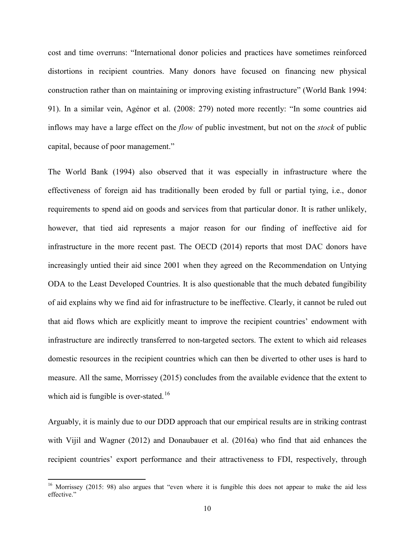cost and time overruns: "International donor policies and practices have sometimes reinforced distortions in recipient countries. Many donors have focused on financing new physical construction rather than on maintaining or improving existing infrastructure" (World Bank 1994: 91). In a similar vein, Agénor et al. (2008: 279) noted more recently: "In some countries aid inflows may have a large effect on the *flow* of public investment, but not on the *stock* of public capital, because of poor management."

The World Bank (1994) also observed that it was especially in infrastructure where the effectiveness of foreign aid has traditionally been eroded by full or partial tying, i.e., donor requirements to spend aid on goods and services from that particular donor. It is rather unlikely, however, that tied aid represents a major reason for our finding of ineffective aid for infrastructure in the more recent past. The OECD (2014) reports that most DAC donors have increasingly untied their aid since 2001 when they agreed on the Recommendation on Untying ODA to the Least Developed Countries. It is also questionable that the much debated fungibility of aid explains why we find aid for infrastructure to be ineffective. Clearly, it cannot be ruled out that aid flows which are explicitly meant to improve the recipient countries' endowment with infrastructure are indirectly transferred to non-targeted sectors. The extent to which aid releases domestic resources in the recipient countries which can then be diverted to other uses is hard to measure. All the same, Morrissey (2015) concludes from the available evidence that the extent to which aid is fungible is over-stated.<sup>[16](#page-10-0)</sup>

Arguably, it is mainly due to our DDD approach that our empirical results are in striking contrast with Vijil and Wagner (2012) and Donaubauer et al. (2016a) who find that aid enhances the recipient countries' export performance and their attractiveness to FDI, respectively, through

<span id="page-10-0"></span><sup>&</sup>lt;sup>16</sup> Morrissey (2015: 98) also argues that "even where it is fungible this does not appear to make the aid less effective."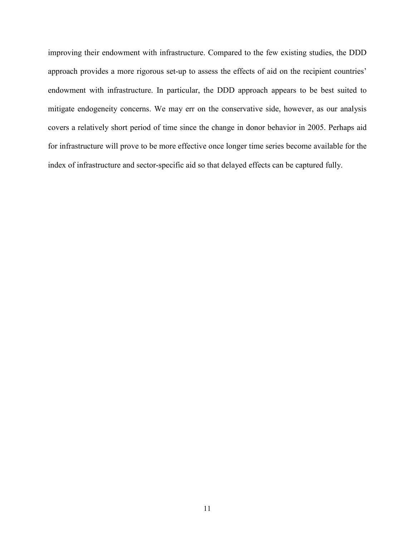improving their endowment with infrastructure. Compared to the few existing studies, the DDD approach provides a more rigorous set-up to assess the effects of aid on the recipient countries' endowment with infrastructure. In particular, the DDD approach appears to be best suited to mitigate endogeneity concerns. We may err on the conservative side, however, as our analysis covers a relatively short period of time since the change in donor behavior in 2005. Perhaps aid for infrastructure will prove to be more effective once longer time series become available for the index of infrastructure and sector-specific aid so that delayed effects can be captured fully.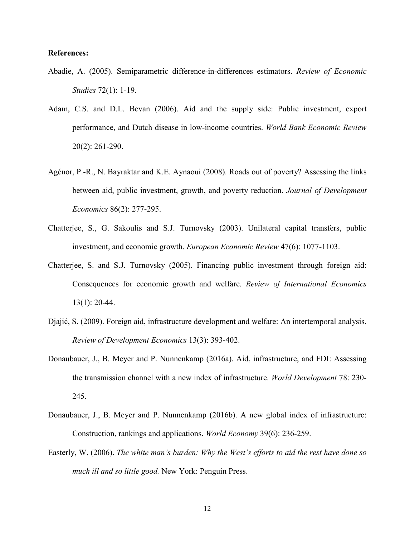#### **References:**

- Abadie, A. (2005). Semiparametric difference-in-differences estimators. *Review of Economic Studies* 72(1): 1-19.
- Adam, C.S. and D.L. Bevan (2006). Aid and the supply side: Public investment, export performance, and Dutch disease in low-income countries. *World Bank Economic Review*  20(2): 261-290.
- Agénor, P.-R., N. Bayraktar and K.E. Aynaoui (2008). Roads out of poverty? Assessing the links between aid, public investment, growth, and poverty reduction. *Journal of Development Economics* 86(2): 277-295.
- Chatterjee, S., G. Sakoulis and S.J. Turnovsky (2003). Unilateral capital transfers, public investment, and economic growth. *European Economic Review* 47(6): 1077-1103.
- Chatterjee, S. and S.J. Turnovsky (2005). Financing public investment through foreign aid: Consequences for economic growth and welfare. *Review of International Economics*  13(1): 20-44.
- Djajić, S. (2009). Foreign aid, infrastructure development and welfare: An intertemporal analysis. *Review of Development Economics* 13(3): 393-402.
- Donaubauer, J., B. Meyer and P. Nunnenkamp (2016a). Aid, infrastructure, and FDI: Assessing the transmission channel with a new index of infrastructure. *World Development* 78: 230- 245.
- Donaubauer, J., B. Meyer and P. Nunnenkamp (2016b). A new global index of infrastructure: Construction, rankings and applications. *World Economy* 39(6): 236-259.
- Easterly, W. (2006). *The white man's burden: Why the West's efforts to aid the rest have done so much ill and so little good.* New York: Penguin Press.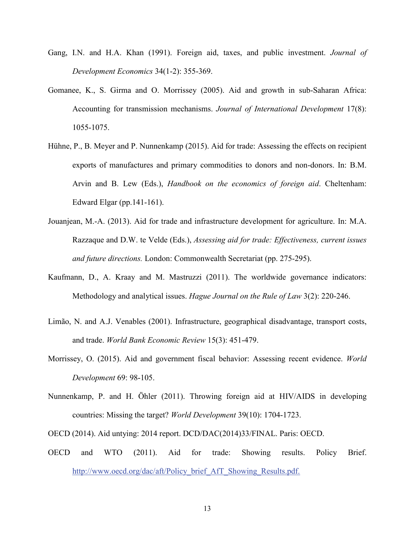- Gang, I.N. and H.A. Khan (1991). Foreign aid, taxes, and public investment. *Journal of Development Economics* 34(1-2): 355-369.
- Gomanee, K., S. Girma and O. Morrissey (2005). Aid and growth in sub-Saharan Africa: Accounting for transmission mechanisms. *Journal of International Development* 17(8): 1055-1075.
- Hühne, P., B. Meyer and P. Nunnenkamp (2015). Aid for trade: Assessing the effects on recipient exports of manufactures and primary commodities to donors and non-donors. In: B.M. Arvin and B. Lew (Eds.), *Handbook on the economics of foreign aid*. Cheltenham: Edward Elgar (pp.141-161).
- Jouanjean, M.-A. (2013). Aid for trade and infrastructure development for agriculture. In: M.A. Razzaque and D.W. te Velde (Eds.), *Assessing aid for trade: Effectiveness, current issues and future directions.* London: Commonwealth Secretariat (pp. 275-295).
- Kaufmann, D., A. Kraay and M. Mastruzzi (2011). The worldwide governance indicators: Methodology and analytical issues. *Hague Journal on the Rule of Law* 3(2): 220-246.
- Limão, N. and A.J. Venables (2001). Infrastructure, geographical disadvantage, transport costs, and trade. *World Bank Economic Review* 15(3): 451-479.
- Morrissey, O. (2015). Aid and government fiscal behavior: Assessing recent evidence. *World Development* 69: 98-105.
- Nunnenkamp, P. and H. Öhler (2011). Throwing foreign aid at HIV/AIDS in developing countries: Missing the target? *World Development* 39(10): 1704-1723.
- OECD (2014). Aid untying: 2014 report. DCD/DAC(2014)33/FINAL. Paris: OECD.
- OECD and WTO (2011). Aid for trade: Showing results. Policy Brief. [http://www.oecd.org/dac/aft/Policy\\_brief\\_AfT\\_Showing\\_Results.pdf.](http://www.oecd.org/dac/aft/Policy_brief_AfT_Showing_Results.pdf)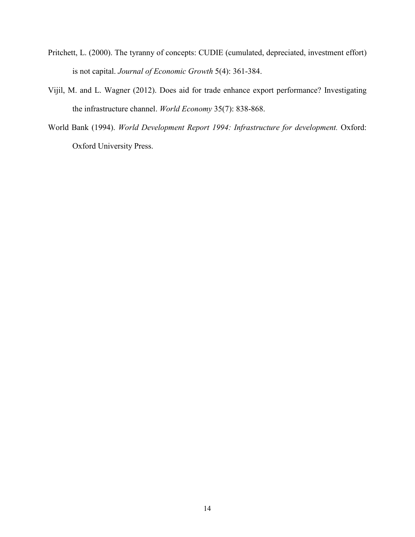- Pritchett, L. (2000). The tyranny of concepts: CUDIE (cumulated, depreciated, investment effort) is not capital. *Journal of Economic Growth* 5(4): 361-384.
- Vijil, M. and L. Wagner (2012). Does aid for trade enhance export performance? Investigating the infrastructure channel. *World Economy* 35(7): 838-868.
- World Bank (1994). *World Development Report 1994: Infrastructure for development.* Oxford: Oxford University Press.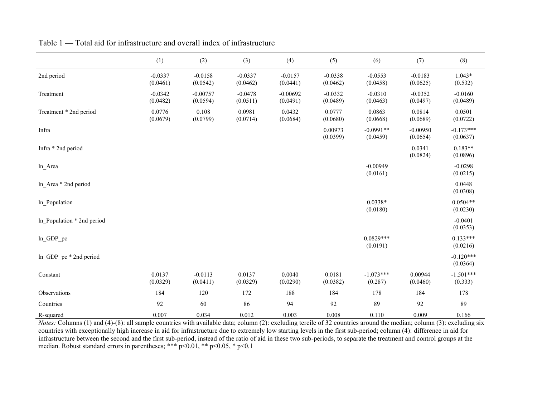|                            | (1)                   | (2)                    | (3)                   | (4)                    | (5)                   | (6)                     | (7)                    | (8)                     |
|----------------------------|-----------------------|------------------------|-----------------------|------------------------|-----------------------|-------------------------|------------------------|-------------------------|
| 2nd period                 | $-0.0337$<br>(0.0461) | $-0.0158$<br>(0.0542)  | $-0.0337$<br>(0.0462) | $-0.0157$<br>(0.0441)  | $-0.0338$<br>(0.0462) | $-0.0553$<br>(0.0458)   | $-0.0183$<br>(0.0625)  | $1.043*$<br>(0.532)     |
| Treatment                  | $-0.0342$<br>(0.0482) | $-0.00757$<br>(0.0594) | $-0.0478$<br>(0.0511) | $-0.00692$<br>(0.0491) | $-0.0332$<br>(0.0489) | $-0.0310$<br>(0.0463)   | $-0.0352$<br>(0.0497)  | $-0.0160$<br>(0.0489)   |
| Treatment * 2nd period     | 0.0776<br>(0.0679)    | 0.108<br>(0.0799)      | 0.0981<br>(0.0714)    | 0.0432<br>(0.0684)     | 0.0777<br>(0.0680)    | 0.0863<br>(0.0668)      | 0.0814<br>(0.0689)     | 0.0501<br>(0.0722)      |
| Infra                      |                       |                        |                       |                        | 0.00973<br>(0.0399)   | $-0.0991**$<br>(0.0459) | $-0.00950$<br>(0.0654) | $-0.173***$<br>(0.0637) |
| Infra * 2nd period         |                       |                        |                       |                        |                       |                         | 0.0341<br>(0.0824)     | $0.183**$<br>(0.0896)   |
| ln_Area                    |                       |                        |                       |                        |                       | $-0.00949$<br>(0.0161)  |                        | $-0.0298$<br>(0.0215)   |
| ln Area * 2nd period       |                       |                        |                       |                        |                       |                         |                        | 0.0448<br>(0.0308)      |
| In Population              |                       |                        |                       |                        |                       | $0.0338*$<br>(0.0180)   |                        | $0.0504**$<br>(0.0230)  |
| In Population * 2nd period |                       |                        |                       |                        |                       |                         |                        | $-0.0401$<br>(0.0353)   |
| ln GDP pc                  |                       |                        |                       |                        |                       | $0.0829***$<br>(0.0191) |                        | $0.133***$<br>(0.0216)  |
| ln GDP pc * 2nd period     |                       |                        |                       |                        |                       |                         |                        | $-0.120***$<br>(0.0364) |
| Constant                   | 0.0137<br>(0.0329)    | $-0.0113$<br>(0.0411)  | 0.0137<br>(0.0329)    | 0.0040<br>(0.0290)     | 0.0181<br>(0.0382)    | $-1.073***$<br>(0.287)  | 0.00944<br>(0.0460)    | $-1.501***$<br>(0.333)  |
| Observations               | 184                   | 120                    | 172                   | 188                    | 184                   | 178                     | 184                    | 178                     |
| Countries                  | 92                    | 60                     | 86                    | 94                     | 92                    | 89                      | 92                     | 89                      |
| R-squared                  | 0.007                 | 0.034                  | 0.012                 | 0.003                  | 0.008                 | 0.110                   | 0.009                  | 0.166                   |

Table 1 — Total aid for infrastructure and overall index of infrastructure

*Notes:* Columns (1) and (4)-(8): all sample countries with available data; column (2): excluding tercile of 32 countries around the median; column (3): excluding six countries with exceptionally high increase in aid for infrastructure due to extremely low starting levels in the first sub-period; column (4): difference in aid for infrastructure between the second and the first sub-period, instead of the ratio of aid in these two sub-periods, to separate the treatment and control groups at the median. Robust standard errors in parentheses; \*\*\*  $p<0.01$ , \*\*  $p<0.05$ , \*  $p<0.1$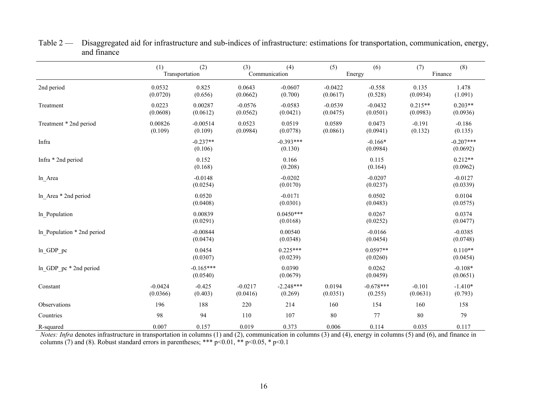|                            | (2)<br>(1)<br>Transportation |                         | (3)<br>(4)<br>Communication |                         | (5)                   | (6)<br>Energy          | (8)<br>(7)<br>Finance |                         |
|----------------------------|------------------------------|-------------------------|-----------------------------|-------------------------|-----------------------|------------------------|-----------------------|-------------------------|
| 2nd period                 | 0.0532<br>(0.0720)           | 0.825<br>(0.656)        | 0.0643<br>(0.0662)          | $-0.0607$<br>(0.700)    | $-0.0422$<br>(0.0617) | $-0.558$<br>(0.528)    | 0.135<br>(0.0934)     | 1.478<br>(1.091)        |
| Treatment                  | 0.0223<br>(0.0608)           | 0.00287<br>(0.0612)     | $-0.0576$<br>(0.0562)       | $-0.0583$<br>(0.0421)   | $-0.0539$<br>(0.0475) | $-0.0432$<br>(0.0501)  | $0.215**$<br>(0.0983) | $0.203**$<br>(0.0936)   |
| Treatment * 2nd period     | 0.00826<br>(0.109)           | $-0.00514$<br>(0.109)   | 0.0523<br>(0.0984)          | 0.0519<br>(0.0778)      | 0.0589<br>(0.0861)    | 0.0473<br>(0.0941)     | $-0.191$<br>(0.132)   | $-0.186$<br>(0.135)     |
| Infra                      |                              | $-0.237**$<br>(0.106)   |                             | $-0.393***$<br>(0.130)  |                       | $-0.166*$<br>(0.0984)  |                       | $-0.207***$<br>(0.0692) |
| Infra * 2nd period         |                              | 0.152<br>(0.168)        |                             | 0.166<br>(0.208)        |                       | 0.115<br>(0.164)       |                       | $0.212**$<br>(0.0962)   |
| ln_Area                    |                              | $-0.0148$<br>(0.0254)   |                             | $-0.0202$<br>(0.0170)   |                       | $-0.0207$<br>(0.0237)  |                       | $-0.0127$<br>(0.0339)   |
| In Area $*$ 2nd period     |                              | 0.0520<br>(0.0408)      |                             | $-0.0171$<br>(0.0301)   |                       | 0.0502<br>(0.0483)     |                       | 0.0104<br>(0.0575)      |
| In Population              |                              | 0.00839<br>(0.0291)     |                             | $0.0450***$<br>(0.0168) |                       | 0.0267<br>(0.0252)     |                       | 0.0374<br>(0.0477)      |
| In Population * 2nd period |                              | $-0.00844$<br>(0.0474)  |                             | 0.00540<br>(0.0348)     |                       | $-0.0166$<br>(0.0454)  |                       | $-0.0385$<br>(0.0748)   |
| ln GDP pc                  |                              | 0.0454<br>(0.0307)      |                             | $0.225***$<br>(0.0239)  |                       | $0.0597**$<br>(0.0260) |                       | $0.110**$<br>(0.0454)   |
| ln GDP pc * 2nd period     |                              | $-0.165***$<br>(0.0540) |                             | 0.0390<br>(0.0679)      |                       | 0.0262<br>(0.0459)     |                       | $-0.108*$<br>(0.0651)   |
| Constant                   | $-0.0424$<br>(0.0366)        | $-0.425$<br>(0.403)     | $-0.0217$<br>(0.0416)       | $-2.248***$<br>(0.269)  | 0.0194<br>(0.0351)    | $-0.678***$<br>(0.255) | $-0.101$<br>(0.0631)  | $-1.410*$<br>(0.793)    |
| Observations               | 196                          | 188                     | 220                         | 214                     | 160                   | 154                    | 160                   | 158                     |
| Countries                  | 98                           | 94                      | 110                         | 107                     | $\bf 80$              | 77                     | 80                    | 79                      |
| R-squared                  | 0.007                        | 0.157                   | 0.019                       | 0.373                   | 0.006                 | 0.114                  | 0.035                 | 0.117                   |

Table 2 — Disaggregated aid for infrastructure and sub-indices of infrastructure: estimations for transportation, communication, energy, and finance

*Notes: Infra* denotes infrastructure in transportation in columns (1) and (2), communication in columns (3) and (4), energy in columns (5) and (6), and finance in columns (7) and (8). Robust standard errors in parentheses; \*\*\*  $p<0.01$ , \*\*  $p<0.05$ , \*  $p<0.1$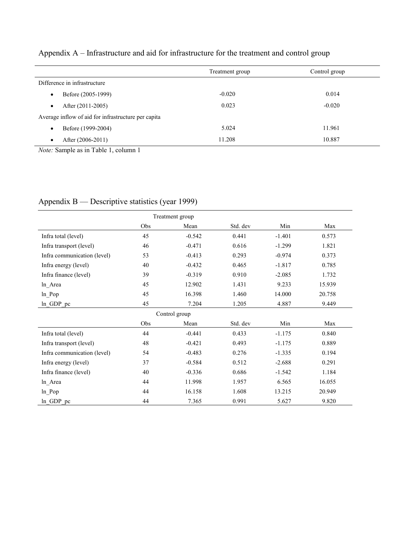| Appendix A – Infrastructure and aid for infrastructure for the treatment and control group |  |  |  |
|--------------------------------------------------------------------------------------------|--|--|--|
|--------------------------------------------------------------------------------------------|--|--|--|

|                                                                                                                                                                                                                                                                                                                                                             | Treatment group | Control group |
|-------------------------------------------------------------------------------------------------------------------------------------------------------------------------------------------------------------------------------------------------------------------------------------------------------------------------------------------------------------|-----------------|---------------|
| Difference in infrastructure                                                                                                                                                                                                                                                                                                                                |                 |               |
| Before (2005-1999)<br>$\bullet$                                                                                                                                                                                                                                                                                                                             | $-0.020$        | 0.014         |
| After (2011-2005)<br>$\bullet$                                                                                                                                                                                                                                                                                                                              | 0.023           | $-0.020$      |
| Average inflow of aid for infrastructure per capita                                                                                                                                                                                                                                                                                                         |                 |               |
| Before (1999-2004)<br>$\bullet$                                                                                                                                                                                                                                                                                                                             | 5.024           | 11.961        |
| After (2006-2011)<br>$\bullet$                                                                                                                                                                                                                                                                                                                              | 11.208          | 10.887        |
| $\mathcal{M}$ $\mathcal{M}$ $\mathcal{M}$ $\mathcal{M}$ $\mathcal{M}$ $\mathcal{M}$ $\mathcal{M}$ $\mathcal{M}$ $\mathcal{M}$ $\mathcal{M}$ $\mathcal{M}$ $\mathcal{M}$ $\mathcal{M}$ $\mathcal{M}$ $\mathcal{M}$ $\mathcal{M}$ $\mathcal{M}$ $\mathcal{M}$ $\mathcal{M}$ $\mathcal{M}$ $\mathcal{M}$ $\mathcal{M}$ $\mathcal{M}$ $\mathcal{M}$ $\mathcal{$ |                 |               |

*Note:* Sample as in Table 1, column 1

| Treatment group             |     |               |          |          |        |  |
|-----------------------------|-----|---------------|----------|----------|--------|--|
|                             | Obs | Mean          | Std. dev | Min      | Max    |  |
| Infra total (level)         | 45  | $-0.542$      | 0.441    | $-1.401$ | 0.573  |  |
| Infra transport (level)     | 46  | $-0.471$      | 0.616    | $-1.299$ | 1.821  |  |
| Infra communication (level) | 53  | $-0.413$      | 0.293    | $-0.974$ | 0.373  |  |
| Infra energy (level)        | 40  | $-0.432$      | 0.465    | $-1.817$ | 0.785  |  |
| Infra finance (level)       | 39  | $-0.319$      | 0.910    | $-2.085$ | 1.732  |  |
| ln_Area                     | 45  | 12.902        | 1.431    | 9.233    | 15.939 |  |
| ln Pop                      | 45  | 16.398        | 1.460    | 14.000   | 20.758 |  |
| ln GDP pc                   | 45  | 7.204         | 1.205    | 4.887    | 9.449  |  |
|                             |     | Control group |          |          |        |  |
|                             | Obs | Mean          | Std. dev | Min      | Max    |  |
| Infra total (level)         | 44  | $-0.441$      | 0.433    | $-1.175$ | 0.840  |  |
| Infra transport (level)     | 48  | $-0.421$      | 0.493    | $-1.175$ | 0.889  |  |
| Infra communication (level) | 54  | $-0.483$      | 0.276    | $-1.335$ | 0.194  |  |
| Infra energy (level)        | 37  | $-0.584$      | 0.512    | $-2.688$ | 0.291  |  |
| Infra finance (level)       | 40  | $-0.336$      | 0.686    | $-1.542$ | 1.184  |  |
| ln_Area                     | 44  | 11.998        | 1.957    | 6.565    | 16.055 |  |
| $ln_Pop$                    | 44  | 16.158        | 1.608    | 13.215   | 20.949 |  |
| ln GDP pc                   | 44  | 7.365         | 0.991    | 5.627    | 9.820  |  |

## Appendix B — Descriptive statistics (year 1999)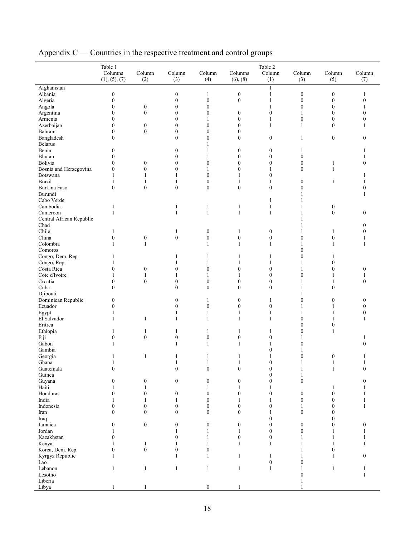|                              | Table 1<br>Columns<br>(1), (5), (7) | Column<br>(2)    | Column<br>(3)    | Column<br>(4)         | Columns<br>(6), (8) | Table 2<br>Column<br>(1) | Column<br>(3)    | Column<br>(5)    | Column<br>(7)    |
|------------------------------|-------------------------------------|------------------|------------------|-----------------------|---------------------|--------------------------|------------------|------------------|------------------|
| Afghanistan                  |                                     |                  |                  |                       |                     | $\mathbf{1}$             |                  |                  |                  |
| Albania                      | $\boldsymbol{0}$                    |                  | $\boldsymbol{0}$ | $\mathbf{1}$          | $\boldsymbol{0}$    | $\mathbf{1}$             | $\boldsymbol{0}$ | $\boldsymbol{0}$ | 1                |
| Algeria                      | $\boldsymbol{0}$                    |                  | $\boldsymbol{0}$ | $\boldsymbol{0}$      | $\mathbf{0}$        | $\mathbf{1}$             | $\boldsymbol{0}$ | $\boldsymbol{0}$ | $\boldsymbol{0}$ |
|                              | $\boldsymbol{0}$                    | $\boldsymbol{0}$ | $\boldsymbol{0}$ | $\boldsymbol{0}$      |                     | 1                        | $\boldsymbol{0}$ | $\boldsymbol{0}$ | $\mathbf{1}$     |
| Angola                       |                                     |                  |                  |                       |                     |                          | $\mathbf{1}$     |                  | $\mathbf{0}$     |
| Argentina                    | $\boldsymbol{0}$                    | $\boldsymbol{0}$ | $\boldsymbol{0}$ | $\boldsymbol{0}$      | $\boldsymbol{0}$    | $\boldsymbol{0}$         |                  | $\boldsymbol{0}$ |                  |
| Armenia                      | $\boldsymbol{0}$                    |                  | $\mathbf{0}$     | $\mathbf{1}$          | $\boldsymbol{0}$    | $\mathbf{1}$             | $\boldsymbol{0}$ | $\boldsymbol{0}$ | $\mathbf{0}$     |
| Azerbaijan                   | $\mathbf{0}$                        | $\boldsymbol{0}$ | $\boldsymbol{0}$ | $\boldsymbol{0}$      | $\boldsymbol{0}$    | $\mathbf{1}$             | $\mathbf{1}$     | $\boldsymbol{0}$ | 1                |
| Bahrain                      | $\boldsymbol{0}$                    | $\boldsymbol{0}$ | $\boldsymbol{0}$ | $\boldsymbol{0}$      | $\mathbf{0}$        |                          |                  |                  |                  |
| Bangladesh<br><b>Belarus</b> | $\boldsymbol{0}$                    |                  | $\mathbf{0}$     | $\boldsymbol{0}$<br>1 | $\boldsymbol{0}$    | $\boldsymbol{0}$         | $\mathbf{1}$     | $\boldsymbol{0}$ | $\boldsymbol{0}$ |
| Benin                        | $\boldsymbol{0}$                    |                  | $\mathbf{0}$     | $\mathbf{1}$          | $\boldsymbol{0}$    | $\boldsymbol{0}$         | $\mathbf{1}$     |                  | 1                |
| Bhutan                       | $\boldsymbol{0}$                    |                  | $\mathbf{0}$     | $\mathbf{1}$          | $\mathbf{0}$        | $\boldsymbol{0}$         | $\boldsymbol{0}$ |                  |                  |
| Bolivia                      | $\mathbf{0}$                        | $\boldsymbol{0}$ | $\boldsymbol{0}$ | $\boldsymbol{0}$      | $\mathbf{0}$        | $\boldsymbol{0}$         | $\boldsymbol{0}$ | 1                | $\overline{0}$   |
| Bosnia and Herzegovina       | $\mathbf{0}$                        | $\boldsymbol{0}$ | $\mathbf{0}$     | 1                     | $\mathbf{0}$        | 1                        | $\mathbf{0}$     | $\mathbf{1}$     |                  |
| Botswana                     | 1                                   | 1                | 1                | $\boldsymbol{0}$      | 1                   | $\boldsymbol{0}$         |                  |                  | 1                |
| <b>Brazil</b>                | 1                                   | 1                | 1                | $\boldsymbol{0}$      | 1                   | 1                        | $\boldsymbol{0}$ | $\mathbf{1}$     | 1                |
| Burkina Faso                 | $\boldsymbol{0}$                    | $\boldsymbol{0}$ | $\boldsymbol{0}$ | $\boldsymbol{0}$      | $\boldsymbol{0}$    | $\boldsymbol{0}$         | $\boldsymbol{0}$ |                  | $\mathbf{0}$     |
| Burundi                      |                                     |                  |                  |                       |                     |                          | 1                |                  | 1                |
| Cabo Verde                   |                                     |                  |                  |                       |                     | $\mathbf{1}$             | $\mathbf{1}$     |                  |                  |
| Cambodia                     | 1                                   |                  | $\mathbf{1}$     | $\mathbf{1}$          | $\mathbf{1}$        | $\,1$                    | $\mathbf{1}$     | $\boldsymbol{0}$ |                  |
| Cameroon                     | 1                                   |                  | $\mathbf{1}$     | $\mathbf{1}$          | $\mathbf{1}$        | $\mathbf{1}$             | $\mathbf{1}$     | $\boldsymbol{0}$ | $\boldsymbol{0}$ |
| Central African Republic     |                                     |                  |                  |                       |                     |                          | $\mathbf{1}$     |                  |                  |
| Chad                         |                                     |                  |                  |                       |                     |                          | $\mathbf{1}$     |                  | $\mathbf{0}$     |
| Chile                        |                                     |                  |                  |                       |                     |                          | $\mathbf{1}$     |                  | $\mathbf{0}$     |
|                              | 1                                   |                  | 1                | $\boldsymbol{0}$      | $\mathbf{1}$        | $\boldsymbol{0}$         |                  | 1                |                  |
| China                        | $\boldsymbol{0}$                    | $\boldsymbol{0}$ | $\boldsymbol{0}$ | $\boldsymbol{0}$      | $\boldsymbol{0}$    | $\boldsymbol{0}$         | $\mathbf{0}$     | $\boldsymbol{0}$ | 1                |
| Colombia                     | 1                                   | $\mathbf{1}$     |                  | $\mathbf{1}$          | $\mathbf{1}$        | $\mathbf{1}$             | $\mathbf{1}$     | $\mathbf{1}$     | $\mathbf{1}$     |
| Comoros                      |                                     |                  |                  |                       |                     |                          | $\mathbf{0}$     |                  |                  |
| Congo, Dem. Rep.             | 1                                   |                  | 1                | 1                     | 1                   | 1                        | $\boldsymbol{0}$ | 1                |                  |
| Congo, Rep.                  | 1                                   |                  | 1                | 1                     | 1                   | 1                        | 1                | $\mathbf{0}$     |                  |
| Costa Rica                   | $\mathbf{0}$                        | $\boldsymbol{0}$ | $\boldsymbol{0}$ | $\boldsymbol{0}$      | $\mathbf{0}$        | $\boldsymbol{0}$         | $\mathbf{1}$     | $\boldsymbol{0}$ | $\mathbf{0}$     |
| Cote d'Ivoire                | 1                                   | 1                | 1                | 1                     | 1                   | $\overline{0}$           | $\mathbf{0}$     | 1                | 1                |
| Croatia                      | $\boldsymbol{0}$                    | $\boldsymbol{0}$ | $\boldsymbol{0}$ | $\boldsymbol{0}$      | $\boldsymbol{0}$    | $\boldsymbol{0}$         | 1                | 1                | $\mathbf{0}$     |
| Cuba                         | $\overline{0}$                      |                  | $\mathbf{0}$     | $\mathbf{0}$          | $\mathbf{0}$        | $\boldsymbol{0}$         | 1                | $\mathbf{0}$     |                  |
| Djibouti                     |                                     |                  |                  |                       |                     |                          | 1                |                  |                  |
| Dominican Republic           | $\boldsymbol{0}$                    |                  | $\mathbf{0}$     | $\mathbf{1}$          | $\boldsymbol{0}$    | $\mathbf{1}$             | $\boldsymbol{0}$ | $\boldsymbol{0}$ | $\boldsymbol{0}$ |
| Ecuador                      | $\mathbf{0}$                        |                  | $\mathbf{0}$     | $\boldsymbol{0}$      | $\boldsymbol{0}$    | $\boldsymbol{0}$         | 1                | 1                | $\mathbf{0}$     |
| Egypt                        | 1                                   |                  | $\mathbf{1}$     | $\mathbf{1}$          | $\mathbf{1}$        | $\mathbf{1}$             | $\mathbf{1}$     | 1                | $\boldsymbol{0}$ |
| El Salvador                  | $\mathbf{1}$                        | $\mathbf{1}$     | $\mathbf{1}$     | $\mathbf{1}$          | $\mathbf{1}$        | $\mathbf{1}$             | $\boldsymbol{0}$ | 1                | 1                |
| Eritrea                      |                                     |                  |                  |                       |                     |                          | $\boldsymbol{0}$ | $\boldsymbol{0}$ |                  |
| Ethiopia                     | 1                                   | $\mathbf{1}$     | 1                | $\mathbf{1}$          | $\mathbf{1}$        | $\mathbf{1}$             | $\boldsymbol{0}$ | $\mathbf{1}$     |                  |
| Fiji                         | $\boldsymbol{0}$                    | $\boldsymbol{0}$ | $\boldsymbol{0}$ | $\boldsymbol{0}$      | $\boldsymbol{0}$    | $\boldsymbol{0}$         | $\mathbf{1}$     |                  | 1                |
| Gabon                        | 1                                   |                  | $\mathbf{1}$     | $\mathbf{1}$          | $\mathbf{1}$        | $\mathbf{1}$             | $\mathbf{0}$     |                  | $\mathbf{0}$     |
|                              |                                     |                  |                  |                       |                     | $\overline{0}$           | 1                |                  |                  |
| Gambia                       |                                     |                  |                  |                       |                     |                          | $\mathbf{0}$     |                  |                  |
| Georgia                      | 1                                   | $\mathbf{1}$     | $\mathbf{1}$     | $\mathbf{1}$          | $\mathbf{1}$        | 1                        |                  | $\boldsymbol{0}$ | $\mathbf{1}$     |
| Ghana                        | 1                                   |                  | 1                | $\mathbf{1}$          | 1                   | $\boldsymbol{0}$         | 1                | $\mathbf{1}$     | $\mathbf{1}$     |
| Guatemala                    | $\boldsymbol{0}$                    |                  | $\mathbf{0}$     | $\boldsymbol{0}$      | $\boldsymbol{0}$    | $\boldsymbol{0}$         | 1                | $\mathbf{1}$     | $\mathbf{0}$     |
| Guinea                       |                                     |                  |                  |                       |                     | $\boldsymbol{0}$         | $\mathbf{1}$     |                  |                  |
| Guyana                       | $\boldsymbol{0}$                    | $\boldsymbol{0}$ | $\boldsymbol{0}$ | $\boldsymbol{0}$      | $\boldsymbol{0}$    | $\overline{0}$           | $\boldsymbol{0}$ |                  | $\mathbf{0}$     |
| Haiti                        | 1                                   | $\mathbf{1}$     |                  | $\mathbf{1}$          | $\mathbf{1}$        | 1                        |                  | $\mathbf{1}$     | 1                |
| Honduras                     | $\boldsymbol{0}$                    | $\boldsymbol{0}$ | $\boldsymbol{0}$ | $\boldsymbol{0}$      | $\boldsymbol{0}$    | $\mathbf{0}$             | $\boldsymbol{0}$ | $\boldsymbol{0}$ |                  |
| India                        | 1                                   | $\mathbf{1}$     | 1                | $\boldsymbol{0}$      | $\mathbf{1}$        | 1                        | $\boldsymbol{0}$ | $\boldsymbol{0}$ |                  |
| Indonesia                    | $\boldsymbol{0}$                    | $\boldsymbol{0}$ | $\boldsymbol{0}$ | $\boldsymbol{0}$      | $\boldsymbol{0}$    | $\boldsymbol{0}$         | $\mathbf{1}$     | $\boldsymbol{0}$ | 1                |
| Iran                         | $\overline{0}$                      | $\boldsymbol{0}$ | $\mathbf{0}$     | $\mathbf{0}$          | $\mathbf{0}$        | 1                        | $\boldsymbol{0}$ | $\mathbf{0}$     |                  |
| Iraq                         |                                     |                  |                  |                       |                     | $\mathbf{0}$             |                  | $\boldsymbol{0}$ |                  |
| Jamaica                      | $\boldsymbol{0}$                    | $\mathbf{0}$     | $\boldsymbol{0}$ | $\boldsymbol{0}$      | $\boldsymbol{0}$    | $\mathbf{0}$             | $\boldsymbol{0}$ | $\mathbf{0}$     | $\boldsymbol{0}$ |
| Jordan                       | 1                                   |                  | 1                | 1                     | $\mathbf{1}$        | $\boldsymbol{0}$         | $\boldsymbol{0}$ | 1                | 1                |
| Kazakhstan                   | $\boldsymbol{0}$                    |                  | $\theta$         | 1                     | $\boldsymbol{0}$    | $\mathbf{0}$             | $\mathbf{1}$     |                  | 1                |
| Kenya                        | 1                                   | $\mathbf{1}$     | $\mathbf{1}$     | $\mathbf{1}$          | $\mathbf{1}$        | $\mathbf{1}$             | $\mathbf{1}$     | $\mathbf{1}$     | $\mathbf{1}$     |
| Korea, Dem. Rep.             | $\mathbf{0}$                        | $\boldsymbol{0}$ | $\mathbf{0}$     | $\boldsymbol{0}$      |                     |                          | 1                | $\boldsymbol{0}$ |                  |
| Kyrgyz Republic              | 1                                   |                  | -1               | $\mathbf{1}$          | $\mathbf{1}$        |                          | 1                | $\mathbf{1}$     | $\mathbf{0}$     |
|                              |                                     |                  |                  |                       |                     | 1<br>$\boldsymbol{0}$    | $\mathbf{0}$     |                  |                  |
| Lao                          |                                     |                  |                  |                       |                     |                          |                  |                  |                  |
| Lebanon                      | $\mathbf{1}$                        | $\mathbf{1}$     | $\mathbf{1}$     | $\mathbf{1}$          | $\mathbf{1}$        | 1                        | $\mathbf{1}$     | $\mathbf{1}$     | 1                |
| Lesotho                      |                                     |                  |                  |                       |                     |                          | $\boldsymbol{0}$ |                  | $\mathbf{1}$     |
| Liberia                      |                                     |                  |                  |                       |                     |                          | $\mathbf{1}$     |                  |                  |
| Libya                        | $\mathbf{1}$                        | $\mathbf{1}$     |                  | $\boldsymbol{0}$      | $\mathbf{1}$        |                          | 1                |                  |                  |

Appendix C — Countries in the respective treatment and control groups